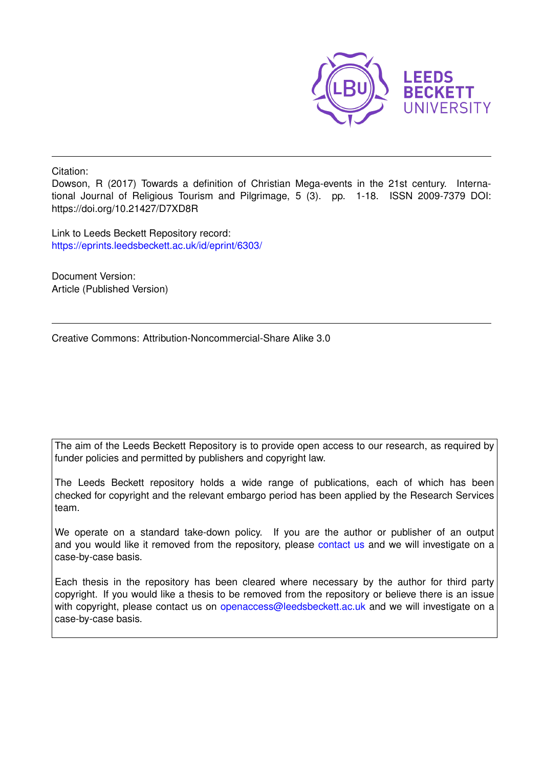

Citation:

Dowson, R (2017) Towards a definition of Christian Mega-events in the 21st century. International Journal of Religious Tourism and Pilgrimage, 5 (3). pp. 1-18. ISSN 2009-7379 DOI: https://doi.org/10.21427/D7XD8R

Link to Leeds Beckett Repository record: <https://eprints.leedsbeckett.ac.uk/id/eprint/6303/>

Document Version: Article (Published Version)

Creative Commons: Attribution-Noncommercial-Share Alike 3.0

The aim of the Leeds Beckett Repository is to provide open access to our research, as required by funder policies and permitted by publishers and copyright law.

The Leeds Beckett repository holds a wide range of publications, each of which has been checked for copyright and the relevant embargo period has been applied by the Research Services team.

We operate on a standard take-down policy. If you are the author or publisher of an output and you would like it removed from the repository, please [contact us](mailto:openaccess@leedsbeckett.ac.uk) and we will investigate on a case-by-case basis.

Each thesis in the repository has been cleared where necessary by the author for third party copyright. If you would like a thesis to be removed from the repository or believe there is an issue with copyright, please contact us on [openaccess@leedsbeckett.ac.uk](mailto:openaccess@leedsbeckett.ac.uk) and we will investigate on a case-by-case basis.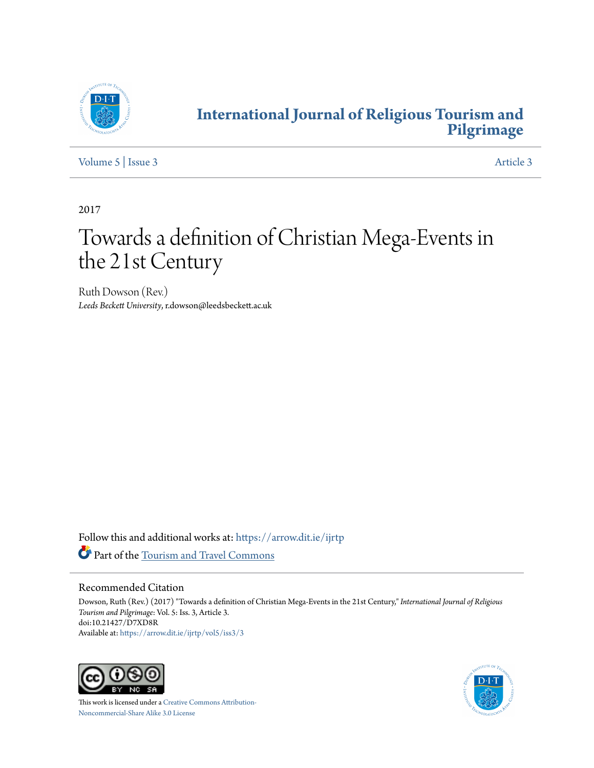

# **[International Journal of Religious Tourism and](https://arrow.dit.ie/ijrtp?utm_source=arrow.dit.ie%2Fijrtp%2Fvol5%2Fiss3%2F3&utm_medium=PDF&utm_campaign=PDFCoverPages) [Pilgrimage](https://arrow.dit.ie/ijrtp?utm_source=arrow.dit.ie%2Fijrtp%2Fvol5%2Fiss3%2F3&utm_medium=PDF&utm_campaign=PDFCoverPages)**

[Volume 5](https://arrow.dit.ie/ijrtp/vol5?utm_source=arrow.dit.ie%2Fijrtp%2Fvol5%2Fiss3%2F3&utm_medium=PDF&utm_campaign=PDFCoverPages) | [Issue 3](https://arrow.dit.ie/ijrtp/vol5/iss3?utm_source=arrow.dit.ie%2Fijrtp%2Fvol5%2Fiss3%2F3&utm_medium=PDF&utm_campaign=PDFCoverPages) [Article 3](https://arrow.dit.ie/ijrtp/vol5/iss3/3?utm_source=arrow.dit.ie%2Fijrtp%2Fvol5%2Fiss3%2F3&utm_medium=PDF&utm_campaign=PDFCoverPages)

2017

# Towards a definition of Christian Mega-Events in the 21st Century

Ruth Dowson (Rev.) *Leeds Beckett University*, r.dowson@leedsbeckett.ac.uk

Follow this and additional works at: [https://arrow.dit.ie/ijrtp](https://arrow.dit.ie/ijrtp?utm_source=arrow.dit.ie%2Fijrtp%2Fvol5%2Fiss3%2F3&utm_medium=PDF&utm_campaign=PDFCoverPages) Part of the [Tourism and Travel Commons](http://network.bepress.com/hgg/discipline/1082?utm_source=arrow.dit.ie%2Fijrtp%2Fvol5%2Fiss3%2F3&utm_medium=PDF&utm_campaign=PDFCoverPages)

#### Recommended Citation

Dowson, Ruth (Rev.) (2017) "Towards a definition of Christian Mega-Events in the 21st Century," *International Journal of Religious Tourism and Pilgrimage*: Vol. 5: Iss. 3, Article 3. doi:10.21427/D7XD8R Available at: [https://arrow.dit.ie/ijrtp/vol5/iss3/3](https://arrow.dit.ie/ijrtp/vol5/iss3/3?utm_source=arrow.dit.ie%2Fijrtp%2Fvol5%2Fiss3%2F3&utm_medium=PDF&utm_campaign=PDFCoverPages)



This work is licensed under a [Creative Commons Attribution-](http://creativecommons.org/licenses/by-nc-sa/3.0/)[Noncommercial-Share Alike 3.0 License](http://creativecommons.org/licenses/by-nc-sa/3.0/)

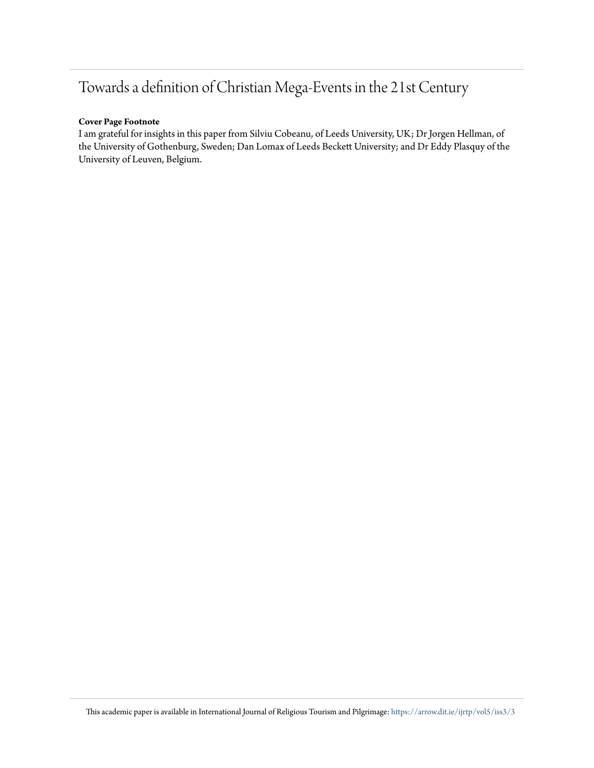# Towards a definition of Christian Mega-Events in the 21st Century

#### **Cover Page Footnote**

I am grateful for insights in this paper from Silviu Cobeanu, of Leeds University, UK; Dr Jorgen Hellman, of the University of Gothenburg, Sweden; Dan Lomax of Leeds Beckett University; and Dr Eddy Plasquy of the University of Leuven, Belgium.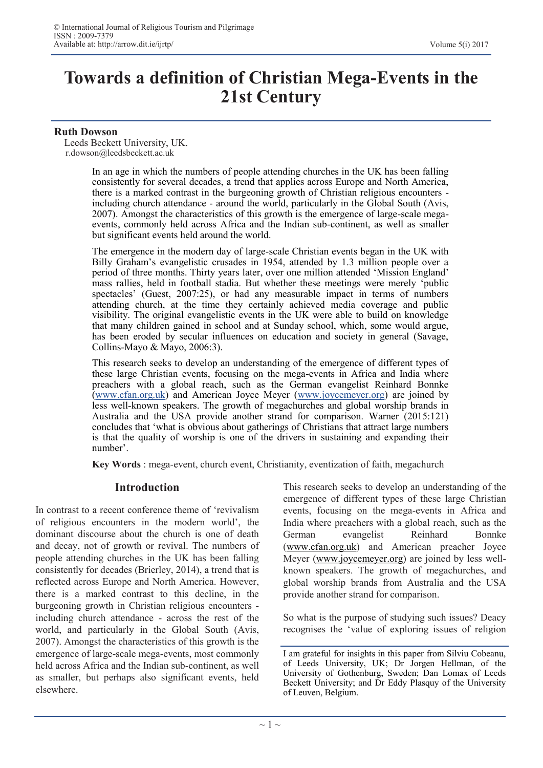# **Towards a definition of Christian Mega-Events in the 21st Century**

#### **Ruth Dowson**

 Leeds Beckett University, UK. r.dowson@leedsbeckett.ac.uk

> In an age in which the numbers of people attending churches in the UK has been falling consistently for several decades, a trend that applies across Europe and North America, there is a marked contrast in the burgeoning growth of Christian religious encounters including church attendance - around the world, particularly in the Global South (Avis, 2007). Amongst the characteristics of this growth is the emergence of large-scale megaevents, commonly held across Africa and the Indian sub-continent, as well as smaller but significant events held around the world.

> The emergence in the modern day of large-scale Christian events began in the UK with Billy Graham's evangelistic crusades in 1954, attended by 1.3 million people over a period of three months. Thirty years later, over one million attended 'Mission England' mass rallies, held in football stadia. But whether these meetings were merely 'public spectacles' (Guest, 2007:25), or had any measurable impact in terms of numbers attending church, at the time they certainly achieved media coverage and public visibility. The original evangelistic events in the UK were able to build on knowledge that many children gained in school and at Sunday school, which, some would argue, has been eroded by secular influences on education and society in general (Savage, Collins-Mayo & Mayo, 2006:3).

> This research seeks to develop an understanding of the emergence of different types of these large Christian events, focusing on the mega-events in Africa and India where preachers with a global reach, such as the German evangelist Reinhard Bonnke ([www.cfan.org.uk\)](http://www.cfan.org.uk/) and American Joyce Meyer ([www.joycemeyer.org\)](http://www.joycemeyer.org/) are joined by less well-known speakers. The growth of megachurches and global worship brands in Australia and the USA provide another strand for comparison. Warner (2015:121) concludes that 'what is obvious about gatherings of Christians that attract large numbers is that the quality of worship is one of the drivers in sustaining and expanding their number'.

**Key Words** : mega-event, church event, Christianity, eventization of faith, megachurch

#### **Introduction**

In contrast to a recent conference theme of 'revivalism of religious encounters in the modern world', the dominant discourse about the church is one of death and decay, not of growth or revival. The numbers of people attending churches in the UK has been falling consistently for decades (Brierley, 2014), a trend that is reflected across Europe and North America. However, there is a marked contrast to this decline, in the burgeoning growth in Christian religious encounters including church attendance - across the rest of the world, and particularly in the Global South (Avis, 2007). Amongst the characteristics of this growth is the emergence of large-scale mega-events, most commonly held across Africa and the Indian sub-continent, as well as smaller, but perhaps also significant events, held elsewhere.

This research seeks to develop an understanding of the emergence of different types of these large Christian events, focusing on the mega-events in Africa and India where preachers with a global reach, such as the German evangelist Reinhard Bonnke [\(www.cfan.org.uk\)](http://www.cfan.org.uk) and American preacher Joyce Meyer ([www.joycemeyer.org\)](http://www.joycemeyer.org) are joined by less wellknown speakers. The growth of megachurches, and global worship brands from Australia and the USA provide another strand for comparison.

So what is the purpose of studying such issues? Deacy recognises the 'value of exploring issues of religion

I am grateful for insights in this paper from Silviu Cobeanu, of Leeds University, UK; Dr Jorgen Hellman, of the University of Gothenburg, Sweden; Dan Lomax of Leeds Beckett University; and Dr Eddy Plasquy of the University of Leuven, Belgium.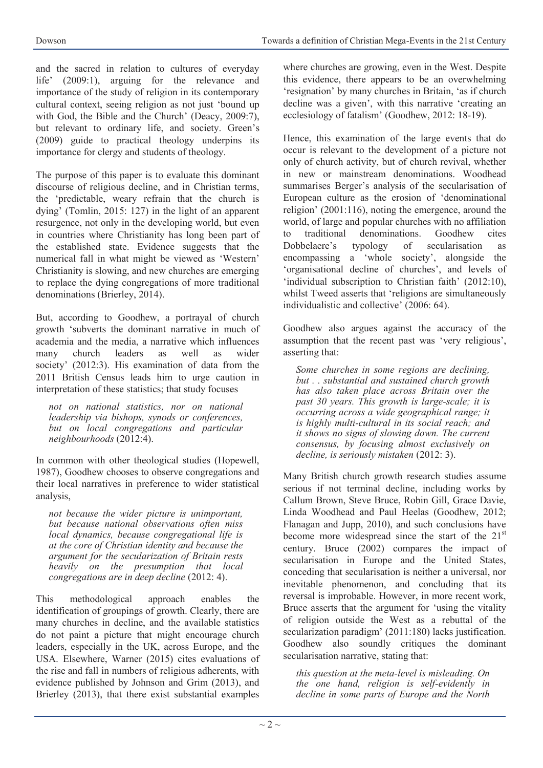and the sacred in relation to cultures of everyday life' (2009:1), arguing for the relevance and importance of the study of religion in its contemporary cultural context, seeing religion as not just 'bound up with God, the Bible and the Church' (Deacy, 2009:7), but relevant to ordinary life, and society. Green's (2009) guide to practical theology underpins its importance for clergy and students of theology.

The purpose of this paper is to evaluate this dominant discourse of religious decline, and in Christian terms, the 'predictable, weary refrain that the church is dying' (Tomlin, 2015: 127) in the light of an apparent resurgence, not only in the developing world, but even in countries where Christianity has long been part of the established state. Evidence suggests that the numerical fall in what might be viewed as 'Western' Christianity is slowing, and new churches are emerging to replace the dying congregations of more traditional denominations (Brierley, 2014).

But, according to Goodhew, a portrayal of church growth 'subverts the dominant narrative in much of academia and the media, a narrative which influences many church leaders as well as wider society' (2012:3). His examination of data from the 2011 British Census leads him to urge caution in interpretation of these statistics; that study focuses

*not on national statistics, nor on national leadership via bishops, synods or conferences, but on local congregations and particular neighbourhoods* (2012:4).

In common with other theological studies (Hopewell, 1987), Goodhew chooses to observe congregations and their local narratives in preference to wider statistical analysis,

*not because the wider picture is unimportant, but because national observations often miss local dynamics, because congregational life is at the core of Christian identity and because the argument for the secularization of Britain rests heavily on the presumption that local congregations are in deep decline* (2012: 4).

This methodological approach enables the identification of groupings of growth. Clearly, there are many churches in decline, and the available statistics do not paint a picture that might encourage church leaders, especially in the UK, across Europe, and the USA. Elsewhere, Warner (2015) cites evaluations of the rise and fall in numbers of religious adherents, with evidence published by Johnson and Grim (2013), and Brierley (2013), that there exist substantial examples

where churches are growing, even in the West. Despite this evidence, there appears to be an overwhelming 'resignation' by many churches in Britain, 'as if church decline was a given', with this narrative 'creating an ecclesiology of fatalism' (Goodhew, 2012: 18-19).

Hence, this examination of the large events that do occur is relevant to the development of a picture not only of church activity, but of church revival, whether in new or mainstream denominations. Woodhead summarises Berger's analysis of the secularisation of European culture as the erosion of 'denominational religion' (2001:116), noting the emergence, around the world, of large and popular churches with no affiliation to traditional denominations. Goodhew cites Dobbelaere's typology of secularisation as encompassing a 'whole society', alongside the 'organisational decline of churches', and levels of 'individual subscription to Christian faith' (2012:10), whilst Tweed asserts that 'religions are simultaneously individualistic and collective' (2006: 64).

Goodhew also argues against the accuracy of the assumption that the recent past was 'very religious', asserting that:

*Some churches in some regions are declining, but . . substantial and sustained church growth has also taken place across Britain over the past 30 years. This growth is large-scale; it is occurring across a wide geographical range; it is highly multi-cultural in its social reach; and it shows no signs of slowing down. The current consensus, by focusing almost exclusively on decline, is seriously mistaken* (2012: 3).

Many British church growth research studies assume serious if not terminal decline, including works by Callum Brown, Steve Bruce, Robin Gill, Grace Davie, Linda Woodhead and Paul Heelas (Goodhew, 2012; Flanagan and Jupp, 2010), and such conclusions have become more widespread since the start of the  $21<sup>st</sup>$ century. Bruce (2002) compares the impact of secularisation in Europe and the United States, conceding that secularisation is neither a universal, nor inevitable phenomenon, and concluding that its reversal is improbable. However, in more recent work, Bruce asserts that the argument for 'using the vitality of religion outside the West as a rebuttal of the secularization paradigm' (2011:180) lacks justification. Goodhew also soundly critiques the dominant secularisation narrative, stating that:

*this question at the meta-level is misleading. On the one hand, religion is self-evidently in decline in some parts of Europe and the North*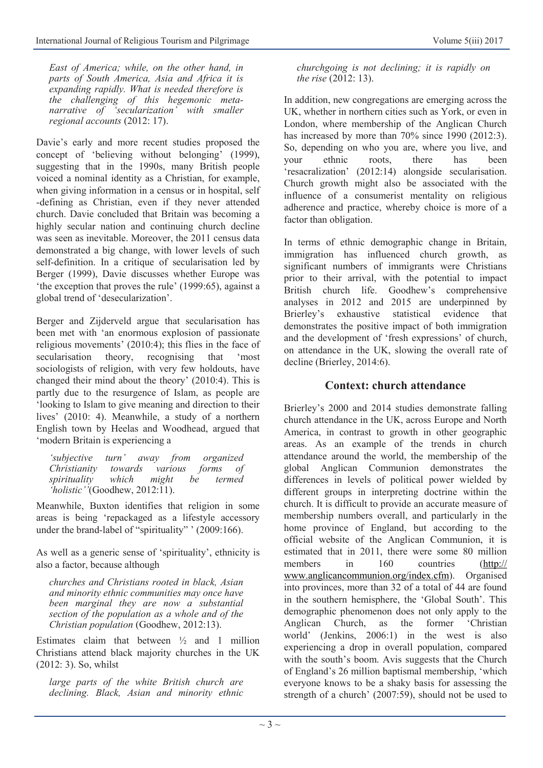*East of America; while, on the other hand, in parts of South America, Asia and Africa it is expanding rapidly. What is needed therefore is the challenging of this hegemonic metanarrative of 'secularization' with smaller regional accounts* (2012: 17).

Davie's early and more recent studies proposed the concept of 'believing without belonging' (1999), suggesting that in the 1990s, many British people voiced a nominal identity as a Christian, for example, when giving information in a census or in hospital, self -defining as Christian, even if they never attended church. Davie concluded that Britain was becoming a highly secular nation and continuing church decline was seen as inevitable. Moreover, the 2011 census data demonstrated a big change, with lower levels of such self-definition. In a critique of secularisation led by Berger (1999), Davie discusses whether Europe was 'the exception that proves the rule' (1999:65), against a global trend of 'desecularization'.

Berger and Zijderveld argue that secularisation has been met with 'an enormous explosion of passionate religious movements' (2010:4); this flies in the face of secularisation theory, recognising that 'most sociologists of religion, with very few holdouts, have changed their mind about the theory' (2010:4). This is partly due to the resurgence of Islam, as people are 'looking to Islam to give meaning and direction to their lives' (2010: 4). Meanwhile, a study of a northern English town by Heelas and Woodhead, argued that 'modern Britain is experiencing a

*'subjective turn' away from organized Christianity towards various forms of spirituality which might be termed 'holistic''*(Goodhew, 2012:11).

Meanwhile, Buxton identifies that religion in some areas is being 'repackaged as a lifestyle accessory under the brand-label of "spirituality" ' (2009:166).

As well as a generic sense of 'spirituality', ethnicity is also a factor, because although

*churches and Christians rooted in black, Asian and minority ethnic communities may once have been marginal they are now a substantial section of the population as a whole and of the Christian population* (Goodhew, 2012:13).

Estimates claim that between  $\frac{1}{2}$  and 1 million Christians attend black majority churches in the UK (2012: 3). So, whilst

*large parts of the white British church are declining. Black, Asian and minority ethnic*  *churchgoing is not declining; it is rapidly on the rise* (2012: 13).

In addition, new congregations are emerging across the UK, whether in northern cities such as York, or even in London, where membership of the Anglican Church has increased by more than 70% since 1990 (2012:3). So, depending on who you are, where you live, and your ethnic roots, there has been 'resacralization' (2012:14) alongside secularisation. Church growth might also be associated with the influence of a consumerist mentality on religious adherence and practice, whereby choice is more of a factor than obligation.

In terms of ethnic demographic change in Britain, immigration has influenced church growth, as significant numbers of immigrants were Christians prior to their arrival, with the potential to impact British church life. Goodhew's comprehensive analyses in 2012 and 2015 are underpinned by Brierley's exhaustive statistical evidence that demonstrates the positive impact of both immigration and the development of 'fresh expressions' of church, on attendance in the UK, slowing the overall rate of decline (Brierley, 2014:6).

#### **Context: church attendance**

Brierley's 2000 and 2014 studies demonstrate falling church attendance in the UK, across Europe and North America, in contrast to growth in other geographic areas. As an example of the trends in church attendance around the world, the membership of the global Anglican Communion demonstrates the differences in levels of political power wielded by different groups in interpreting doctrine within the church. It is difficult to provide an accurate measure of membership numbers overall, and particularly in the home province of England, but according to the official website of the Anglican Communion, it is estimated that in 2011, there were some 80 million members in 160 countries ([http://](http://www.anglicancommunion.org/index.cfm) [www.anglicancommunion.org/index.cfm\)](http://www.anglicancommunion.org/index.cfm). Organised into provinces, more than 32 of a total of 44 are found in the southern hemisphere, the 'Global South'. This demographic phenomenon does not only apply to the Anglican Church, as the former 'Christian world' (Jenkins, 2006:1) in the west is also experiencing a drop in overall population, compared with the south's boom. Avis suggests that the Church of England's 26 million baptismal membership, 'which everyone knows to be a shaky basis for assessing the strength of a church' (2007:59), should not be used to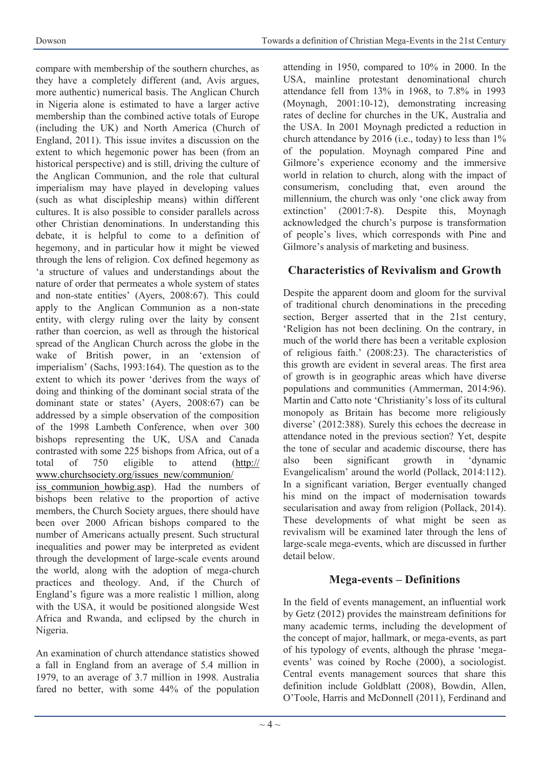compare with membership of the southern churches, as they have a completely different (and, Avis argues, more authentic) numerical basis. The Anglican Church in Nigeria alone is estimated to have a larger active membership than the combined active totals of Europe (including the UK) and North America (Church of England, 2011). This issue invites a discussion on the extent to which hegemonic power has been (from an historical perspective) and is still, driving the culture of the Anglican Communion, and the role that cultural imperialism may have played in developing values (such as what discipleship means) within different cultures. It is also possible to consider parallels across other Christian denominations. In understanding this debate, it is helpful to come to a definition of hegemony, and in particular how it might be viewed through the lens of religion. Cox defined hegemony as 'a structure of values and understandings about the nature of order that permeates a whole system of states and non-state entities' (Ayers, 2008:67). This could apply to the Anglican Communion as a non-state entity, with clergy ruling over the laity by consent rather than coercion, as well as through the historical spread of the Anglican Church across the globe in the wake of British power, in an 'extension of imperialism' (Sachs, 1993:164). The question as to the extent to which its power 'derives from the ways of doing and thinking of the dominant social strata of the dominant state or states' (Ayers, 2008:67) can be addressed by a simple observation of the composition of the 1998 Lambeth Conference, when over 300 bishops representing the UK, USA and Canada contrasted with some 225 bishops from Africa, out of a total of 750 eligible to attend [\(http://](http://www.churchsociety.org/issues_new/communion/iss_communion_howbig.asp) [www.churchsociety.org/issues\\_new/communion/](http://www.churchsociety.org/issues_new/communion/iss_communion_howbig.asp) iss communion howbig.asp). Had the numbers of bishops been relative to the proportion of active members, the Church Society argues, there should have been over 2000 African bishops compared to the number of Americans actually present. Such structural inequalities and power may be interpreted as evident through the development of large-scale events around the world, along with the adoption of mega-church practices and theology. And, if the Church of England's figure was a more realistic 1 million, along with the USA, it would be positioned alongside West Africa and Rwanda, and eclipsed by the church in Nigeria.

An examination of church attendance statistics showed a fall in England from an average of 5.4 million in 1979, to an average of 3.7 million in 1998. Australia fared no better, with some 44% of the population attending in 1950, compared to 10% in 2000. In the USA, mainline protestant denominational church attendance fell from 13% in 1968, to 7.8% in 1993 (Moynagh, 2001:10-12), demonstrating increasing rates of decline for churches in the UK, Australia and the USA. In 2001 Moynagh predicted a reduction in church attendance by 2016 (i.e., today) to less than 1% of the population. Moynagh compared Pine and Gilmore's experience economy and the immersive world in relation to church, along with the impact of consumerism, concluding that, even around the millennium, the church was only 'one click away from extinction' (2001:7-8). Despite this, Moynagh acknowledged the church's purpose is transformation of people's lives, which corresponds with Pine and Gilmore's analysis of marketing and business.

# **Characteristics of Revivalism and Growth**

Despite the apparent doom and gloom for the survival of traditional church denominations in the preceding section, Berger asserted that in the 21st century, 'Religion has not been declining. On the contrary, in much of the world there has been a veritable explosion of religious faith.' (2008:23). The characteristics of this growth are evident in several areas. The first area of growth is in geographic areas which have diverse populations and communities (Ammerman, 2014:96). Martin and Catto note 'Christianity's loss of its cultural monopoly as Britain has become more religiously diverse' (2012:388). Surely this echoes the decrease in attendance noted in the previous section? Yet, despite the tone of secular and academic discourse, there has also been significant growth in 'dynamic Evangelicalism' around the world (Pollack, 2014:112). In a significant variation, Berger eventually changed his mind on the impact of modernisation towards secularisation and away from religion (Pollack, 2014). These developments of what might be seen as revivalism will be examined later through the lens of large-scale mega-events, which are discussed in further detail below.

# **Mega-events – Definitions**

In the field of events management, an influential work by Getz (2012) provides the mainstream definitions for many academic terms, including the development of the concept of major, hallmark, or mega-events, as part of his typology of events, although the phrase 'megaevents' was coined by Roche (2000), a sociologist. Central events management sources that share this definition include Goldblatt (2008), Bowdin, Allen, O'Toole, Harris and McDonnell (2011), Ferdinand and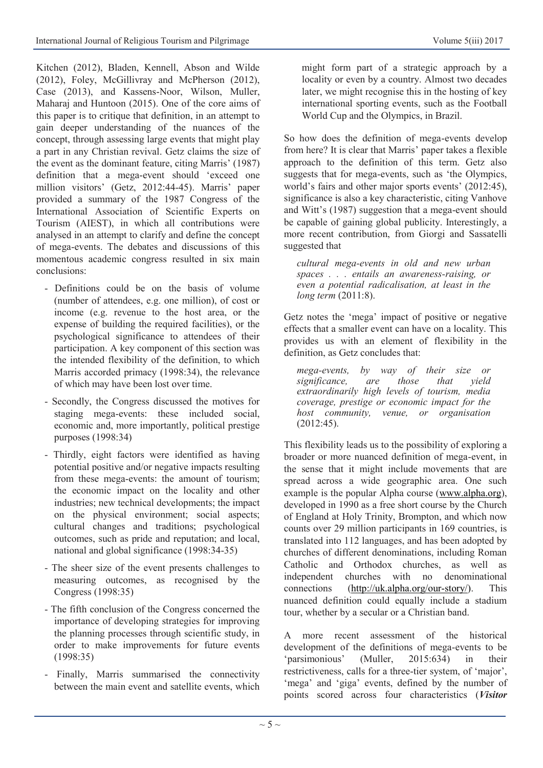Kitchen (2012), Bladen, Kennell, Abson and Wilde (2012), Foley, McGillivray and McPherson (2012), Case (2013), and Kassens-Noor, Wilson, Muller, Maharaj and Huntoon (2015). One of the core aims of this paper is to critique that definition, in an attempt to gain deeper understanding of the nuances of the concept, through assessing large events that might play a part in any Christian revival. Getz claims the size of the event as the dominant feature, citing Marris' (1987) definition that a mega-event should 'exceed one million visitors' (Getz, 2012:44-45). Marris' paper provided a summary of the 1987 Congress of the International Association of Scientific Experts on Tourism (AIEST), in which all contributions were analysed in an attempt to clarify and define the concept of mega-events. The debates and discussions of this momentous academic congress resulted in six main conclusions:

- Definitions could be on the basis of volume (number of attendees, e.g. one million), of cost or income (e.g. revenue to the host area, or the expense of building the required facilities), or the psychological significance to attendees of their participation. A key component of this section was the intended flexibility of the definition, to which Marris accorded primacy (1998:34), the relevance of which may have been lost over time.
- Secondly, the Congress discussed the motives for staging mega-events: these included social, economic and, more importantly, political prestige purposes (1998:34)
- Thirdly, eight factors were identified as having potential positive and/or negative impacts resulting from these mega-events: the amount of tourism; the economic impact on the locality and other industries; new technical developments; the impact on the physical environment; social aspects; cultural changes and traditions; psychological outcomes, such as pride and reputation; and local, national and global significance (1998:34-35)
- The sheer size of the event presents challenges to measuring outcomes, as recognised by the Congress (1998:35)
- The fifth conclusion of the Congress concerned the importance of developing strategies for improving the planning processes through scientific study, in order to make improvements for future events (1998:35)
- Finally, Marris summarised the connectivity between the main event and satellite events, which

might form part of a strategic approach by a locality or even by a country. Almost two decades later, we might recognise this in the hosting of key international sporting events, such as the Football World Cup and the Olympics, in Brazil.

So how does the definition of mega-events develop from here? It is clear that Marris' paper takes a flexible approach to the definition of this term. Getz also suggests that for mega-events, such as 'the Olympics, world's fairs and other major sports events' (2012:45), significance is also a key characteristic, citing Vanhove and Witt's (1987) suggestion that a mega-event should be capable of gaining global publicity. Interestingly, a more recent contribution, from Giorgi and Sassatelli suggested that

*cultural mega-events in old and new urban spaces . . . entails an awareness-raising, or even a potential radicalisation, at least in the long term* (2011:8).

Getz notes the 'mega' impact of positive or negative effects that a smaller event can have on a locality. This provides us with an element of flexibility in the definition, as Getz concludes that:

*mega-events, by way of their size or significance, are those that yield extraordinarily high levels of tourism, media coverage, prestige or economic impact for the host community, venue, or organisation*  (2012:45).

This flexibility leads us to the possibility of exploring a broader or more nuanced definition of mega-event, in the sense that it might include movements that are spread across a wide geographic area. One such example is the popular Alpha course ([www.alpha.org\)](http://www.alpha.org), developed in 1990 as a free short course by the Church of England at Holy Trinity, Brompton, and which now counts over 29 million participants in 169 countries, is translated into 112 languages, and has been adopted by churches of different denominations, including Roman Catholic and Orthodox churches, as well as independent churches with no denominational connections [\(http://uk.alpha.org/our](http://uk.alpha.org/our-story/)-story/). This nuanced definition could equally include a stadium tour, whether by a secular or a Christian band.

A more recent assessment of the historical development of the definitions of mega-events to be 'parsimonious' (Muller, 2015:634) in their restrictiveness, calls for a three-tier system, of 'major', 'mega' and 'giga' events, defined by the number of points scored across four characteristics (*Visitor*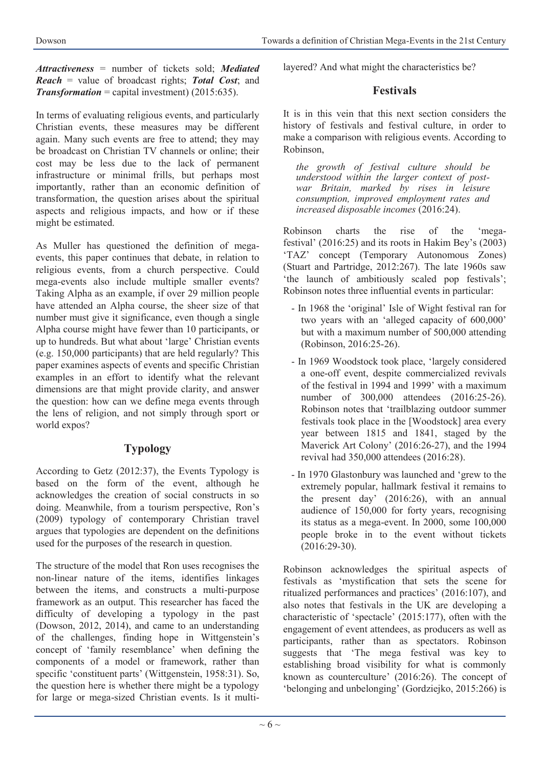*Attractiveness* = number of tickets sold; *Mediated Reach* = value of broadcast rights; *Total Cost*; and *Transformation* = capital investment) (2015:635).

In terms of evaluating religious events, and particularly Christian events, these measures may be different again. Many such events are free to attend; they may be broadcast on Christian TV channels or online; their cost may be less due to the lack of permanent infrastructure or minimal frills, but perhaps most importantly, rather than an economic definition of transformation, the question arises about the spiritual aspects and religious impacts, and how or if these might be estimated.

As Muller has questioned the definition of megaevents, this paper continues that debate, in relation to religious events, from a church perspective. Could mega-events also include multiple smaller events? Taking Alpha as an example, if over 29 million people have attended an Alpha course, the sheer size of that number must give it significance, even though a single Alpha course might have fewer than 10 participants, or up to hundreds. But what about 'large' Christian events (e.g. 150,000 participants) that are held regularly? This paper examines aspects of events and specific Christian examples in an effort to identify what the relevant dimensions are that might provide clarity, and answer the question: how can we define mega events through the lens of religion, and not simply through sport or world expos?

# **Typology**

According to Getz (2012:37), the Events Typology is based on the form of the event, although he acknowledges the creation of social constructs in so doing. Meanwhile, from a tourism perspective, Ron's (2009) typology of contemporary Christian travel argues that typologies are dependent on the definitions used for the purposes of the research in question.

The structure of the model that Ron uses recognises the non-linear nature of the items, identifies linkages between the items, and constructs a multi-purpose framework as an output. This researcher has faced the difficulty of developing a typology in the past (Dowson, 2012, 2014), and came to an understanding of the challenges, finding hope in Wittgenstein's concept of 'family resemblance' when defining the components of a model or framework, rather than specific 'constituent parts' (Wittgenstein, 1958:31). So, the question here is whether there might be a typology for large or mega-sized Christian events. Is it multilayered? And what might the characteristics be?

# **Festivals**

It is in this vein that this next section considers the history of festivals and festival culture, in order to make a comparison with religious events. According to Robinson,

*the growth of festival culture should be understood within the larger context of postwar Britain, marked by rises in leisure consumption, improved employment rates and increased disposable incomes* (2016:24).

Robinson charts the rise of the 'megafestival' (2016:25) and its roots in Hakim Bey's (2003) 'TAZ' concept (Temporary Autonomous Zones) (Stuart and Partridge, 2012:267). The late 1960s saw 'the launch of ambitiously scaled pop festivals'; Robinson notes three influential events in particular:

- In 1968 the 'original' Isle of Wight festival ran for two years with an 'alleged capacity of 600,000' but with a maximum number of 500,000 attending (Robinson, 2016:25-26).
- In 1969 Woodstock took place, 'largely considered a one-off event, despite commercialized revivals of the festival in 1994 and 1999' with a maximum number of 300,000 attendees (2016:25-26). Robinson notes that 'trailblazing outdoor summer festivals took place in the [Woodstock] area every year between 1815 and 1841, staged by the Maverick Art Colony' (2016:26-27), and the 1994 revival had 350,000 attendees (2016:28).
- In 1970 Glastonbury was launched and 'grew to the extremely popular, hallmark festival it remains to the present day' (2016:26), with an annual audience of 150,000 for forty years, recognising its status as a mega-event. In 2000, some 100,000 people broke in to the event without tickets (2016:29-30).

Robinson acknowledges the spiritual aspects of festivals as 'mystification that sets the scene for ritualized performances and practices' (2016:107), and also notes that festivals in the UK are developing a characteristic of 'spectacle' (2015:177), often with the engagement of event attendees, as producers as well as participants, rather than as spectators. Robinson suggests that 'The mega festival was key to establishing broad visibility for what is commonly known as counterculture' (2016:26). The concept of 'belonging and unbelonging' (Gordziejko, 2015:266) is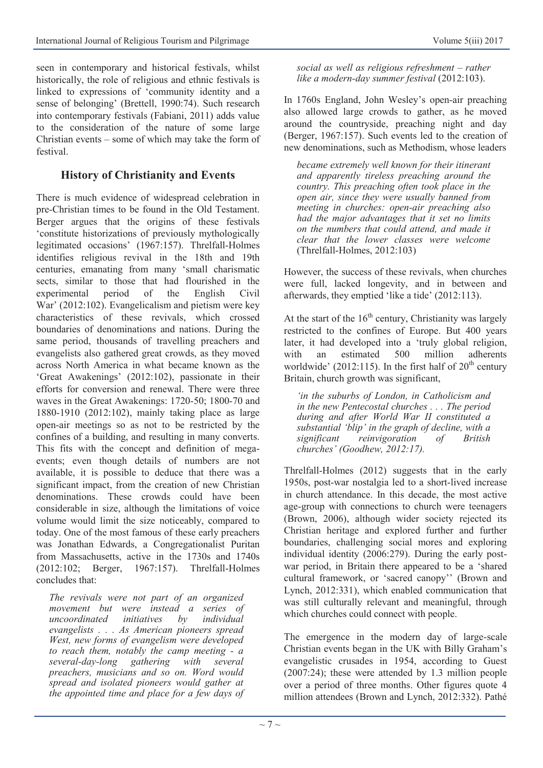seen in contemporary and historical festivals, whilst historically, the role of religious and ethnic festivals is linked to expressions of 'community identity and a sense of belonging' (Brettell, 1990:74). Such research into contemporary festivals (Fabiani, 2011) adds value to the consideration of the nature of some large Christian events – some of which may take the form of festival.

# **History of Christianity and Events**

There is much evidence of widespread celebration in pre-Christian times to be found in the Old Testament. Berger argues that the origins of these festivals 'constitute historizations of previously mythologically legitimated occasions' (1967:157). Threlfall-Holmes identifies religious revival in the 18th and 19th centuries, emanating from many 'small charismatic sects, similar to those that had flourished in the experimental period of the English Civil War' (2012:102). Evangelicalism and pietism were key characteristics of these revivals, which crossed boundaries of denominations and nations. During the same period, thousands of travelling preachers and evangelists also gathered great crowds, as they moved across North America in what became known as the 'Great Awakenings' (2012:102), passionate in their efforts for conversion and renewal. There were three waves in the Great Awakenings: 1720-50; 1800-70 and 1880-1910 (2012:102), mainly taking place as large open-air meetings so as not to be restricted by the confines of a building, and resulting in many converts. This fits with the concept and definition of megaevents; even though details of numbers are not available, it is possible to deduce that there was a significant impact, from the creation of new Christian denominations. These crowds could have been considerable in size, although the limitations of voice volume would limit the size noticeably, compared to today. One of the most famous of these early preachers was Jonathan Edwards, a Congregationalist Puritan from Massachusetts, active in the 1730s and 1740s (2012:102; Berger, 1967:157). Threlfall-Holmes concludes that:

*The revivals were not part of an organized movement but were instead a series of uncoordinated initiatives by individual evangelists . . . As American pioneers spread West, new forms of evangelism were developed to reach them, notably the camp meeting - a several-day-long gathering with several preachers, musicians and so on. Word would spread and isolated pioneers would gather at the appointed time and place for a few days of*  *social as well as religious refreshment – rather like a modern-day summer festival* (2012:103).

In 1760s England, John Wesley's open-air preaching also allowed large crowds to gather, as he moved around the countryside, preaching night and day (Berger, 1967:157). Such events led to the creation of new denominations, such as Methodism, whose leaders

*became extremely well known for their itinerant and apparently tireless preaching around the country. This preaching often took place in the open air, since they were usually banned from meeting in churches: open-air preaching also had the major advantages that it set no limits on the numbers that could attend, and made it clear that the lower classes were welcome*  (Threlfall-Holmes, 2012:103)

However, the success of these revivals, when churches were full, lacked longevity, and in between and afterwards, they emptied 'like a tide' (2012:113).

At the start of the  $16<sup>th</sup>$  century, Christianity was largely restricted to the confines of Europe. But 400 years later, it had developed into a 'truly global religion, with an estimated 500 million adherents worldwide' (2012:115). In the first half of  $20<sup>th</sup>$  century Britain, church growth was significant,

*'in the suburbs of London, in Catholicism and in the new Pentecostal churches . . . The period during and after World War II constituted a substantial 'blip' in the graph of decline, with a significant reinvigoration of British churches' (Goodhew, 2012:17).*

Threlfall-Holmes (2012) suggests that in the early 1950s, post-war nostalgia led to a short-lived increase in church attendance. In this decade, the most active age-group with connections to church were teenagers (Brown, 2006), although wider society rejected its Christian heritage and explored further and further boundaries, challenging social mores and exploring individual identity (2006:279). During the early postwar period, in Britain there appeared to be a 'shared cultural framework, or 'sacred canopy'' (Brown and Lynch, 2012:331), which enabled communication that was still culturally relevant and meaningful, through which churches could connect with people.

The emergence in the modern day of large-scale Christian events began in the UK with Billy Graham's evangelistic crusades in 1954, according to Guest (2007:24); these were attended by 1.3 million people over a period of three months. Other figures quote 4 million attendees (Brown and Lynch, 2012:332). Pathé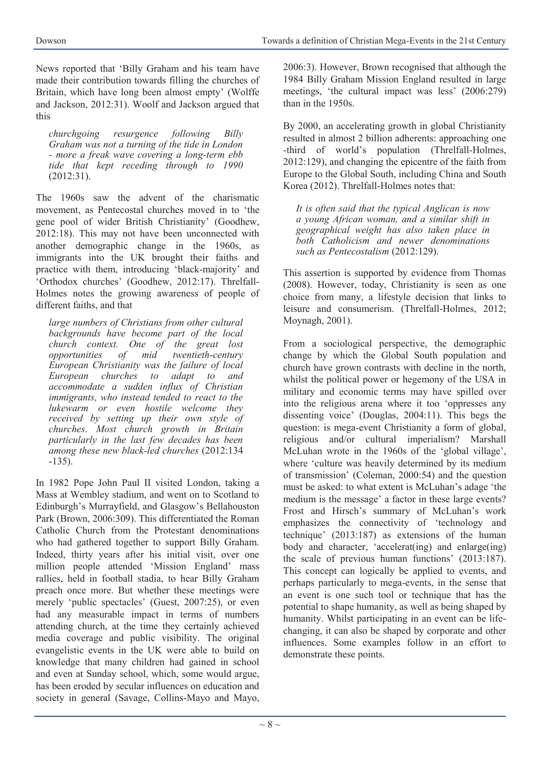News reported that 'Billy Graham and his team have made their contribution towards filling the churches of Britain, which have long been almost empty' (Wolffe and Jackson, 2012:31). Woolf and Jackson argued that this

*churchgoing resurgence following Billy Graham was not a turning of the tide in London - more a freak wave covering a long-term ebb tide that kept receding through to 1990*  (2012:31).

The 1960s saw the advent of the charismatic movement, as Pentecostal churches moved in to 'the gene pool of wider British Christianity' (Goodhew, 2012:18). This may not have been unconnected with another demographic change in the 1960s, as immigrants into the UK brought their faiths and practice with them, introducing 'black-majority' and 'Orthodox churches' (Goodhew, 2012:17). Threlfall-Holmes notes the growing awareness of people of different faiths, and that

*large numbers of Christians from other cultural backgrounds have become part of the local church context. One of the great lost opportunities of mid twentieth-century European Christianity was the failure of local European churches to adapt to and accommodate a sudden influx of Christian immigrants, who instead tended to react to the lukewarm or even hostile welcome they received by setting up their own style of churches. Most church growth in Britain particularly in the last few decades has been among these new black-led churches* (2012:134 -135).

In 1982 Pope John Paul II visited London, taking a Mass at Wembley stadium, and went on to Scotland to Edinburgh's Murrayfield, and Glasgow's Bellahouston Park (Brown, 2006:309). This differentiated the Roman Catholic Church from the Protestant denominations who had gathered together to support Billy Graham. Indeed, thirty years after his initial visit, over one million people attended 'Mission England' mass rallies, held in football stadia, to hear Billy Graham preach once more. But whether these meetings were merely 'public spectacles' (Guest, 2007:25), or even had any measurable impact in terms of numbers attending church, at the time they certainly achieved media coverage and public visibility. The original evangelistic events in the UK were able to build on knowledge that many children had gained in school and even at Sunday school, which, some would argue, has been eroded by secular influences on education and society in general (Savage, Collins-Mayo and Mayo,

2006:3). However, Brown recognised that although the 1984 Billy Graham Mission England resulted in large meetings, 'the cultural impact was less' (2006:279) than in the 1950s.

By 2000, an accelerating growth in global Christianity resulted in almost 2 billion adherents: approaching one -third of world's population (Threlfall-Holmes, 2012:129), and changing the epicentre of the faith from Europe to the Global South, including China and South Korea (2012). Threlfall-Holmes notes that:

*It is often said that the typical Anglican is now a young African woman, and a similar shift in geographical weight has also taken place in both Catholicism and newer denominations such as Pentecostalism* (2012:129).

This assertion is supported by evidence from Thomas (2008). However, today, Christianity is seen as one choice from many, a lifestyle decision that links to leisure and consumerism. (Threlfall-Holmes, 2012; Moynagh, 2001).

From a sociological perspective, the demographic change by which the Global South population and church have grown contrasts with decline in the north, whilst the political power or hegemony of the USA in military and economic terms may have spilled over into the religious arena where it too 'oppresses any dissenting voice' (Douglas, 2004:11). This begs the question: is mega-event Christianity a form of global, religious and/or cultural imperialism? Marshall McLuhan wrote in the 1960s of the 'global village', where 'culture was heavily determined by its medium of transmission' (Coleman, 2000:54) and the question must be asked: to what extent is McLuhan's adage 'the medium is the message' a factor in these large events? Frost and Hirsch's summary of McLuhan's work emphasizes the connectivity of 'technology and technique' (2013:187) as extensions of the human body and character, 'accelerat(ing) and enlarge(ing) the scale of previous human functions' (2013:187). This concept can logically be applied to events, and perhaps particularly to mega-events, in the sense that an event is one such tool or technique that has the potential to shape humanity, as well as being shaped by humanity. Whilst participating in an event can be lifechanging, it can also be shaped by corporate and other influences. Some examples follow in an effort to demonstrate these points.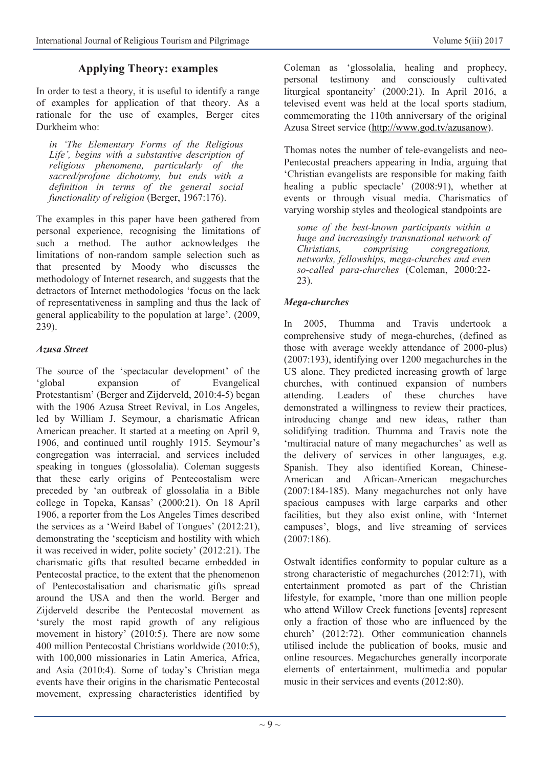# **Applying Theory: examples**

In order to test a theory, it is useful to identify a range of examples for application of that theory. As a rationale for the use of examples, Berger cites Durkheim who:

*in 'The Elementary Forms of the Religious Life', begins with a substantive description of religious phenomena, particularly of the sacred/profane dichotomy, but ends with a definition in terms of the general social functionality of religion* (Berger, 1967:176).

The examples in this paper have been gathered from personal experience, recognising the limitations of such a method. The author acknowledges the limitations of non-random sample selection such as that presented by Moody who discusses the methodology of Internet research, and suggests that the detractors of Internet methodologies 'focus on the lack of representativeness in sampling and thus the lack of general applicability to the population at large'. (2009, 239).

#### *Azusa Street*

The source of the 'spectacular development' of the 'global expansion of Evangelical Protestantism' (Berger and Zijderveld, 2010:4-5) began with the 1906 Azusa Street Revival, in Los Angeles, led by William J. Seymour, a charismatic African American preacher. It started at a meeting on April 9, 1906, and continued until roughly 1915. Seymour's congregation was interracial, and services included speaking in tongues (glossolalia). Coleman suggests that these early origins of Pentecostalism were preceded by 'an outbreak of glossolalia in a Bible college in Topeka, Kansas' (2000:21). On 18 April 1906, a reporter from the Los Angeles Times described the services as a 'Weird Babel of Tongues' (2012:21), demonstrating the 'scepticism and hostility with which it was received in wider, polite society' (2012:21). The charismatic gifts that resulted became embedded in Pentecostal practice, to the extent that the phenomenon of Pentecostalisation and charismatic gifts spread around the USA and then the world. Berger and Zijderveld describe the Pentecostal movement as 'surely the most rapid growth of any religious movement in history' (2010:5). There are now some 400 million Pentecostal Christians worldwide (2010:5), with 100,000 missionaries in Latin America, Africa, and Asia (2010:4). Some of today's Christian mega events have their origins in the charismatic Pentecostal movement, expressing characteristics identified by

Coleman as 'glossolalia, healing and prophecy, personal testimony and consciously cultivated liturgical spontaneity' (2000:21). In April 2016, a televised event was held at the local sports stadium, commemorating the 110th anniversary of the original Azusa Street service ([http://www.god.tv/azusanow\).](http://www.god.tv/azusanow)

Thomas notes the number of tele-evangelists and neo-Pentecostal preachers appearing in India, arguing that 'Christian evangelists are responsible for making faith healing a public spectacle' (2008:91), whether at events or through visual media. Charismatics of varying worship styles and theological standpoints are

*some of the best-known participants within a huge and increasingly transnational network of Christians, comprising congregations, networks, fellowships, mega-churches and even so-called para-churches* (Coleman, 2000:22- 23).

#### *Mega-churches*

In 2005, Thumma and Travis undertook a comprehensive study of mega-churches, (defined as those with average weekly attendance of 2000-plus) (2007:193), identifying over 1200 megachurches in the US alone. They predicted increasing growth of large churches, with continued expansion of numbers attending. Leaders of these churches have demonstrated a willingness to review their practices, introducing change and new ideas, rather than solidifying tradition. Thumma and Travis note the 'multiracial nature of many megachurches' as well as the delivery of services in other languages, e.g. Spanish. They also identified Korean, Chinese-American and African-American megachurches (2007:184-185). Many megachurches not only have spacious campuses with large carparks and other facilities, but they also exist online, with 'Internet campuses', blogs, and live streaming of services (2007:186).

Ostwalt identifies conformity to popular culture as a strong characteristic of megachurches (2012:71), with entertainment promoted as part of the Christian lifestyle, for example, 'more than one million people who attend Willow Creek functions [events] represent only a fraction of those who are influenced by the church' (2012:72). Other communication channels utilised include the publication of books, music and online resources. Megachurches generally incorporate elements of entertainment, multimedia and popular music in their services and events (2012:80).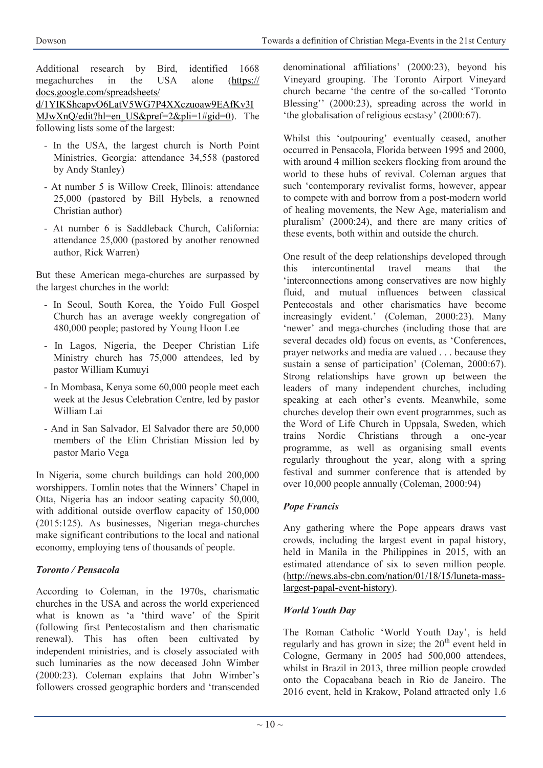Additional research by Bird, identified 1668 megachurches in the USA alone ([https://](https://docs.google.com/spreadsheets/d/1YIKShcapvO6LatV5WG7P4XXczuoaw9EAfKv3IMJwXnQ/edit?hl=en_US&pref=2&pli=1#gid=0) [docs.google.com/spreadsheets/](https://docs.google.com/spreadsheets/d/1YIKShcapvO6LatV5WG7P4XXczuoaw9EAfKv3IMJwXnQ/edit?hl=en_US&pref=2&pli=1#gid=0) [d/1YIKShcapvO6LatV5WG7P4XXczuoaw9EAfKv3I](https://docs.google.com/spreadsheets/d/1YIKShcapvO6LatV5WG7P4XXczuoaw9EAfKv3IMJwXnQ/edit?hl=en_US&pref=2&pli=1#gid=0)

[MJwXnQ/edit?hl=en\\_US&pref=2&pli=1#gid=0\).](https://docs.google.com/spreadsheets/d/1YIKShcapvO6LatV5WG7P4XXczuoaw9EAfKv3IMJwXnQ/edit?hl=en_US&pref=2&pli=1#gid=0) The following lists some of the largest:

- In the USA, the largest church is North Point Ministries, Georgia: attendance 34,558 (pastored by Andy Stanley)
- At number 5 is Willow Creek, Illinois: attendance 25,000 (pastored by Bill Hybels, a renowned Christian author)
- At number 6 is Saddleback Church, California: attendance 25,000 (pastored by another renowned author, Rick Warren)

But these American mega-churches are surpassed by the largest churches in the world:

- In Seoul, South Korea, the Yoido Full Gospel Church has an average weekly congregation of 480,000 people; pastored by Young Hoon Lee
- In Lagos, Nigeria, the Deeper Christian Life Ministry church has 75,000 attendees, led by pastor William Kumuyi
- In Mombasa, Kenya some 60,000 people meet each week at the Jesus Celebration Centre, led by pastor William Lai
- And in San Salvador, El Salvador there are 50,000 members of the Elim Christian Mission led by pastor Mario Vega

In Nigeria, some church buildings can hold 200,000 worshippers. Tomlin notes that the Winners' Chapel in Otta, Nigeria has an indoor seating capacity 50,000, with additional outside overflow capacity of 150,000 (2015:125). As businesses, Nigerian mega-churches make significant contributions to the local and national economy, employing tens of thousands of people.

# *Toronto / Pensacola*

According to Coleman, in the 1970s, charismatic churches in the USA and across the world experienced what is known as 'a 'third wave' of the Spirit (following first Pentecostalism and then charismatic renewal). This has often been cultivated by independent ministries, and is closely associated with such luminaries as the now deceased John Wimber (2000:23). Coleman explains that John Wimber's followers crossed geographic borders and 'transcended

denominational affiliations' (2000:23), beyond his Vineyard grouping. The Toronto Airport Vineyard church became 'the centre of the so-called 'Toronto Blessing'' (2000:23), spreading across the world in 'the globalisation of religious ecstasy' (2000:67).

Whilst this 'outpouring' eventually ceased, another occurred in Pensacola, Florida between 1995 and 2000, with around 4 million seekers flocking from around the world to these hubs of revival. Coleman argues that such 'contemporary revivalist forms, however, appear to compete with and borrow from a post-modern world of healing movements, the New Age, materialism and pluralism' (2000:24), and there are many critics of these events, both within and outside the church.

One result of the deep relationships developed through this intercontinental travel means that the 'interconnections among conservatives are now highly fluid, and mutual influences between classical Pentecostals and other charismatics have become increasingly evident.' (Coleman, 2000:23). Many 'newer' and mega-churches (including those that are several decades old) focus on events, as 'Conferences, prayer networks and media are valued . . . because they sustain a sense of participation' (Coleman, 2000:67). Strong relationships have grown up between the leaders of many independent churches, including speaking at each other's events. Meanwhile, some churches develop their own event programmes, such as the Word of Life Church in Uppsala, Sweden, which trains Nordic Christians through a one-year programme, as well as organising small events regularly throughout the year, along with a spring festival and summer conference that is attended by over 10,000 people annually (Coleman, 2000:94)

# *Pope Francis*

Any gathering where the Pope appears draws vast crowds, including the largest event in papal history, held in Manila in the Philippines in 2015, with an estimated attendance of six to seven million people. (http://news.abs-[cbn.com/nation/01/18/15/luneta](http://news.abs-cbn.com/nation/01/18/15/luneta-mass-largest-papal-event-history)-masslargest-papal-event-[history\).](http://news.abs-cbn.com/nation/01/18/15/luneta-mass-largest-papal-event-history)

#### *World Youth Day*

The Roman Catholic 'World Youth Day', is held regularly and has grown in size; the  $20<sup>th</sup>$  event held in Cologne, Germany in 2005 had 500,000 attendees, whilst in Brazil in 2013, three million people crowded onto the Copacabana beach in Rio de Janeiro. The 2016 event, held in Krakow, Poland attracted only 1.6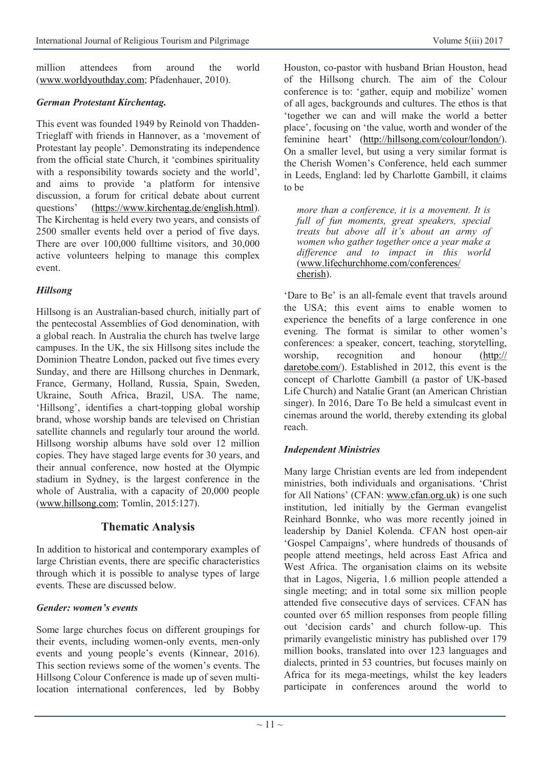million attendees from around the world ([www.worldyouthday.com;](http://www.worldyouthday.com) Pfadenhauer, 2010).

#### *German Protestant Kirchentag.*

This event was founded 1949 by Reinold von Thadden-Trieglaff with friends in Hannover, as a 'movement of Protestant lay people'. Demonstrating its independence from the official state Church, it 'combines spirituality with a responsibility towards society and the world', and aims to provide 'a platform for intensive discussion, a forum for critical debate about current questions' ([https://www.kirchentag.de/english.html\)](https://www.kirchentag.de/english.html). The Kirchentag is held every two years, and consists of 2500 smaller events held over a period of five days. There are over 100,000 fulltime visitors, and 30,000 active volunteers helping to manage this complex event.

#### *Hillsong*

Hillsong is an Australian-based church, initially part of the pentecostal Assemblies of God denomination, with a global reach. In Australia the church has twelve large campuses. In the UK, the six Hillsong sites include the Dominion Theatre London, packed out five times every Sunday, and there are Hillsong churches in Denmark, France, Germany, Holland, Russia, Spain, Sweden, Ukraine, South Africa, Brazil, USA. The name, 'Hillsong', identifies a chart-topping global worship brand, whose worship bands are televised on Christian satellite channels and regularly tour around the world. Hillsong worship albums have sold over 12 million copies. They have staged large events for 30 years, and their annual conference, now hosted at the Olympic stadium in Sydney, is the largest conference in the whole of Australia, with a capacity of 20,000 people ([www.hillsong.com;](http://www.hillsong.com) Tomlin, 2015:127).

# **Thematic Analysis**

In addition to historical and contemporary examples of large Christian events, there are specific characteristics through which it is possible to analyse types of large events. These are discussed below.

#### *Gender: women's events*

Some large churches focus on different groupings for their events, including women-only events, men-only events and young people's events (Kinnear, 2016). This section reviews some of the women's events. The Hillsong Colour Conference is made up of seven multilocation international conferences, led by Bobby

Houston, co-pastor with husband Brian Houston, head of the Hillsong church. The aim of the Colour conference is to: 'gather, equip and mobilize' women of all ages, backgrounds and cultures. The ethos is that 'together we can and will make the world a better place', focusing on 'the value, worth and wonder of the feminine heart' ([http://hillsong.com/colour/london/\)](http://hillsong.com/colour/london/). On a smaller level, but using a very similar format is the Cherish Women's Conference, held each summer in Leeds, England: led by Charlotte Gambill, it claims to be

*more than a conference, it is a movement. It is full of fun moments, great speakers, special treats but above all it's about an army of women who gather together once a year make a difference and to impact in this world*  [\(www.lifechurchhome.com/conferences/](http://www.lifechurchhome.com/conferences/cherish) [cherish\)](http://www.lifechurchhome.com/conferences/cherish).

'Dare to Be' is an all-female event that travels around the USA; this event aims to enable women to experience the benefits of a large conference in one evening. The format is similar to other women's conferences: a speaker, concert, teaching, storytelling, worship, recognition and honour ([http://](http://daretobe.com/) [daretobe.com/\).](http://daretobe.com/) Established in 2012, this event is the concept of Charlotte Gambill (a pastor of UK-based Life Church) and Natalie Grant (an American Christian singer). In 2016, Dare To Be held a simulcast event in cinemas around the world, thereby extending its global reach.

#### *Independent Ministries*

Many large Christian events are led from independent ministries, both individuals and organisations. 'Christ for All Nations' (CFAN: [www.cfan.org.uk\)](http://www.cfan.org.uk) is one such institution, led initially by the German evangelist Reinhard Bonnke, who was more recently joined in leadership by Daniel Kolenda. CFAN host open-air 'Gospel Campaigns', where hundreds of thousands of people attend meetings, held across East Africa and West Africa. The organisation claims on its website that in Lagos, Nigeria, 1.6 million people attended a single meeting; and in total some six million people attended five consecutive days of services. CFAN has counted over 65 million responses from people filling out 'decision cards' and church follow-up. This primarily evangelistic ministry has published over 179 million books, translated into over 123 languages and dialects, printed in 53 countries, but focuses mainly on Africa for its mega-meetings, whilst the key leaders participate in conferences around the world to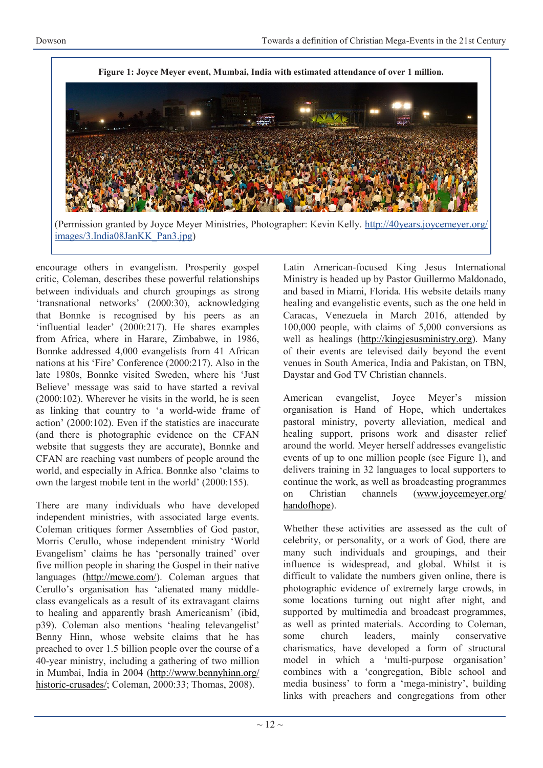

encourage others in evangelism. Prosperity gospel critic, Coleman, describes these powerful relationships between individuals and church groupings as strong 'transnational networks' (2000:30), acknowledging that Bonnke is recognised by his peers as an 'influential leader' (2000:217). He shares examples from Africa, where in Harare, Zimbabwe, in 1986, Bonnke addressed 4,000 evangelists from 41 African nations at his 'Fire' Conference (2000:217). Also in the late 1980s, Bonnke visited Sweden, where his 'Just Believe' message was said to have started a revival (2000:102). Wherever he visits in the world, he is seen as linking that country to 'a world-wide frame of action' (2000:102). Even if the statistics are inaccurate (and there is photographic evidence on the CFAN website that suggests they are accurate), Bonnke and CFAN are reaching vast numbers of people around the world, and especially in Africa. Bonnke also 'claims to own the largest mobile tent in the world' (2000:155).

There are many individuals who have developed independent ministries, with associated large events. Coleman critiques former Assemblies of God pastor, Morris Cerullo, whose independent ministry 'World Evangelism' claims he has 'personally trained' over five million people in sharing the Gospel in their native languages [\(http://mcwe.com/\)](http://mcwe.com/). Coleman argues that Cerullo's organisation has 'alienated many middleclass evangelicals as a result of its extravagant claims to healing and apparently brash Americanism' (ibid, p39). Coleman also mentions 'healing televangelist' Benny Hinn, whose website claims that he has preached to over 1.5 billion people over the course of a 40-year ministry, including a gathering of two million in Mumbai, India in 2004 ([http://www.bennyhinn.org/](http://www.bennyhinn.org/historic-crusades/) historic-[crusades/;](http://www.bennyhinn.org/historic-crusades/) Coleman, 2000:33; Thomas, 2008).

Latin American-focused King Jesus International Ministry is headed up by Pastor Guillermo Maldonado, and based in Miami, Florida. His website details many healing and evangelistic events, such as the one held in Caracas, Venezuela in March 2016, attended by 100,000 people, with claims of 5,000 conversions as well as healings ([http://kingjesusministry.org\)](http://kingjesusministry.org). Many of their events are televised daily beyond the event venues in South America, India and Pakistan, on TBN, Daystar and God TV Christian channels.

American evangelist, Joyce Meyer's mission organisation is Hand of Hope, which undertakes pastoral ministry, poverty alleviation, medical and healing support, prisons work and disaster relief around the world. Meyer herself addresses evangelistic events of up to one million people (see Figure 1), and delivers training in 32 languages to local supporters to continue the work, as well as broadcasting programmes on Christian channels ([www.joycemeyer.org/](http://www.joycemeyer.org/handofhope) [handofhope\)](http://www.joycemeyer.org/handofhope).

Whether these activities are assessed as the cult of celebrity, or personality, or a work of God, there are many such individuals and groupings, and their influence is widespread, and global. Whilst it is difficult to validate the numbers given online, there is photographic evidence of extremely large crowds, in some locations turning out night after night, and supported by multimedia and broadcast programmes, as well as printed materials. According to Coleman, some church leaders, mainly conservative charismatics, have developed a form of structural model in which a 'multi-purpose organisation' combines with a 'congregation, Bible school and media business' to form a 'mega-ministry', building links with preachers and congregations from other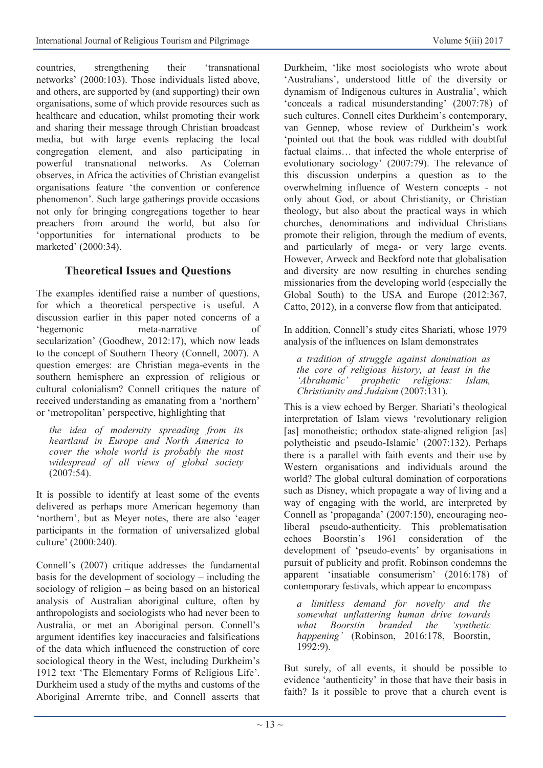countries, strengthening their 'transnational networks' (2000:103). Those individuals listed above, and others, are supported by (and supporting) their own organisations, some of which provide resources such as healthcare and education, whilst promoting their work and sharing their message through Christian broadcast media, but with large events replacing the local congregation element, and also participating in powerful transnational networks. As Coleman observes, in Africa the activities of Christian evangelist organisations feature 'the convention or conference phenomenon'. Such large gatherings provide occasions not only for bringing congregations together to hear preachers from around the world, but also for 'opportunities for international products to be marketed' (2000:34).

# **Theoretical Issues and Questions**

The examples identified raise a number of questions, for which a theoretical perspective is useful. A discussion earlier in this paper noted concerns of a 'hegemonic meta-narrative of secularization' (Goodhew, 2012:17), which now leads to the concept of Southern Theory (Connell, 2007). A question emerges: are Christian mega-events in the southern hemisphere an expression of religious or cultural colonialism? Connell critiques the nature of received understanding as emanating from a 'northern' or 'metropolitan' perspective, highlighting that

*the idea of modernity spreading from its heartland in Europe and North America to cover the whole world is probably the most widespread of all views of global society*  (2007:54).

It is possible to identify at least some of the events delivered as perhaps more American hegemony than 'northern', but as Meyer notes, there are also 'eager participants in the formation of universalized global culture' (2000:240).

Connell's (2007) critique addresses the fundamental basis for the development of sociology – including the sociology of religion – as being based on an historical analysis of Australian aboriginal culture, often by anthropologists and sociologists who had never been to Australia, or met an Aboriginal person. Connell's argument identifies key inaccuracies and falsifications of the data which influenced the construction of core sociological theory in the West, including Durkheim's 1912 text 'The Elementary Forms of Religious Life'. Durkheim used a study of the myths and customs of the Aboriginal Arrernte tribe, and Connell asserts that Durkheim, 'like most sociologists who wrote about 'Australians', understood little of the diversity or dynamism of Indigenous cultures in Australia', which 'conceals a radical misunderstanding' (2007:78) of such cultures. Connell cites Durkheim's contemporary, van Gennep, whose review of Durkheim's work 'pointed out that the book was riddled with doubtful factual claims… that infected the whole enterprise of evolutionary sociology' (2007:79). The relevance of this discussion underpins a question as to the overwhelming influence of Western concepts - not only about God, or about Christianity, or Christian theology, but also about the practical ways in which churches, denominations and individual Christians promote their religion, through the medium of events, and particularly of mega- or very large events. However, Arweck and Beckford note that globalisation and diversity are now resulting in churches sending missionaries from the developing world (especially the Global South) to the USA and Europe (2012:367, Catto, 2012), in a converse flow from that anticipated.

In addition, Connell's study cites Shariati, whose 1979 analysis of the influences on Islam demonstrates

*a tradition of struggle against domination as the core of religious history, at least in the 'Abrahamic' prophetic religions: Islam, Christianity and Judaism* (2007:131).

This is a view echoed by Berger. Shariati's theological interpretation of Islam views 'revolutionary religion [as] monotheistic; orthodox state-aligned religion [as] polytheistic and pseudo-Islamic' (2007:132). Perhaps there is a parallel with faith events and their use by Western organisations and individuals around the world? The global cultural domination of corporations such as Disney, which propagate a way of living and a way of engaging with the world, are interpreted by Connell as 'propaganda' (2007:150), encouraging neoliberal pseudo-authenticity. This problematisation echoes Boorstin's 1961 consideration of the development of 'pseudo-events' by organisations in pursuit of publicity and profit. Robinson condemns the apparent 'insatiable consumerism' (2016:178) of contemporary festivals, which appear to encompass

*a limitless demand for novelty and the somewhat unflattering human drive towards what Boorstin branded the 'synthetic happening'* (Robinson, 2016:178, Boorstin,  $1992:9$ ).

But surely, of all events, it should be possible to evidence 'authenticity' in those that have their basis in faith? Is it possible to prove that a church event is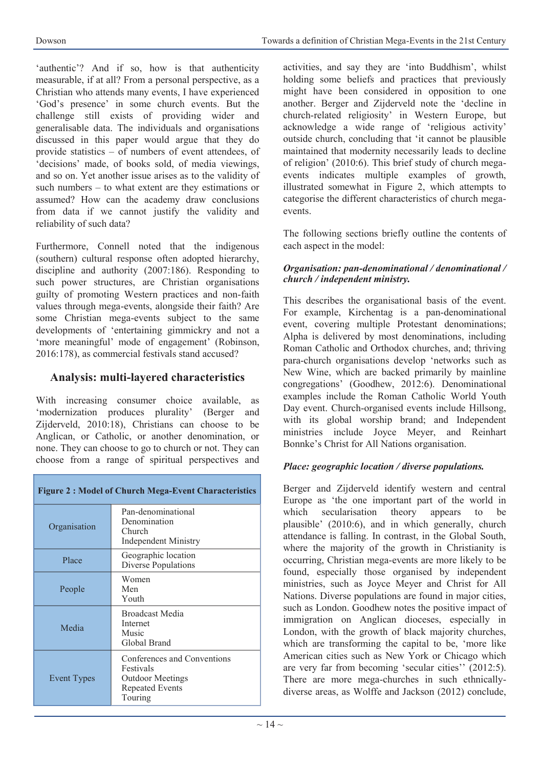'authentic'? And if so, how is that authenticity measurable, if at all? From a personal perspective, as a Christian who attends many events, I have experienced 'God's presence' in some church events. But the challenge still exists of providing wider and generalisable data. The individuals and organisations discussed in this paper would argue that they do provide statistics – of numbers of event attendees, of 'decisions' made, of books sold, of media viewings, and so on. Yet another issue arises as to the validity of such numbers – to what extent are they estimations or assumed? How can the academy draw conclusions from data if we cannot justify the validity and reliability of such data?

Furthermore, Connell noted that the indigenous (southern) cultural response often adopted hierarchy, discipline and authority (2007:186). Responding to such power structures, are Christian organisations guilty of promoting Western practices and non-faith values through mega-events, alongside their faith? Are some Christian mega-events subject to the same developments of 'entertaining gimmickry and not a 'more meaningful' mode of engagement' (Robinson, 2016:178), as commercial festivals stand accused?

# **Analysis: multi-layered characteristics**

With increasing consumer choice available, as 'modernization produces plurality' (Berger and Zijderveld, 2010:18), Christians can choose to be Anglican, or Catholic, or another denomination, or none. They can choose to go to church or not. They can choose from a range of spiritual perspectives and

| <b>Figure 2: Model of Church Mega-Event Characteristics</b> |                                                                                                          |
|-------------------------------------------------------------|----------------------------------------------------------------------------------------------------------|
| Organisation                                                | Pan-denominational<br>Denomination<br>Church<br><b>Independent Ministry</b>                              |
| Place                                                       | Geographic location<br>Diverse Populations                                                               |
| People                                                      | Women<br>Men<br>Youth                                                                                    |
| Media                                                       | <b>Broadcast Media</b><br>Internet<br>Music<br>Global Brand                                              |
| Event Types                                                 | Conferences and Conventions<br>Festivals<br><b>Outdoor Meetings</b><br><b>Repeated Events</b><br>Touring |

activities, and say they are 'into Buddhism', whilst holding some beliefs and practices that previously might have been considered in opposition to one another. Berger and Zijderveld note the 'decline in church-related religiosity' in Western Europe, but acknowledge a wide range of 'religious activity' outside church, concluding that 'it cannot be plausible maintained that modernity necessarily leads to decline of religion' (2010:6). This brief study of church megaevents indicates multiple examples of growth, illustrated somewhat in Figure 2, which attempts to categorise the different characteristics of church megaevents.

The following sections briefly outline the contents of each aspect in the model:

#### *Organisation: pan-denominational / denominational / church / independent ministry.*

This describes the organisational basis of the event. For example, Kirchentag is a pan-denominational event, covering multiple Protestant denominations; Alpha is delivered by most denominations, including Roman Catholic and Orthodox churches, and; thriving para-church organisations develop 'networks such as New Wine, which are backed primarily by mainline congregations' (Goodhew, 2012:6). Denominational examples include the Roman Catholic World Youth Day event. Church-organised events include Hillsong, with its global worship brand; and Independent ministries include Joyce Meyer, and Reinhart Bonnke's Christ for All Nations organisation.

#### *Place: geographic location / diverse populations.*

Berger and Zijderveld identify western and central Europe as 'the one important part of the world in which secularisation theory appears to be plausible' (2010:6), and in which generally, church attendance is falling. In contrast, in the Global South, where the majority of the growth in Christianity is occurring, Christian mega-events are more likely to be found, especially those organised by independent ministries, such as Joyce Meyer and Christ for All Nations. Diverse populations are found in major cities, such as London. Goodhew notes the positive impact of immigration on Anglican dioceses, especially in London, with the growth of black majority churches, which are transforming the capital to be, 'more like American cities such as New York or Chicago which are very far from becoming 'secular cities'' (2012:5). There are more mega-churches in such ethnicallydiverse areas, as Wolffe and Jackson (2012) conclude,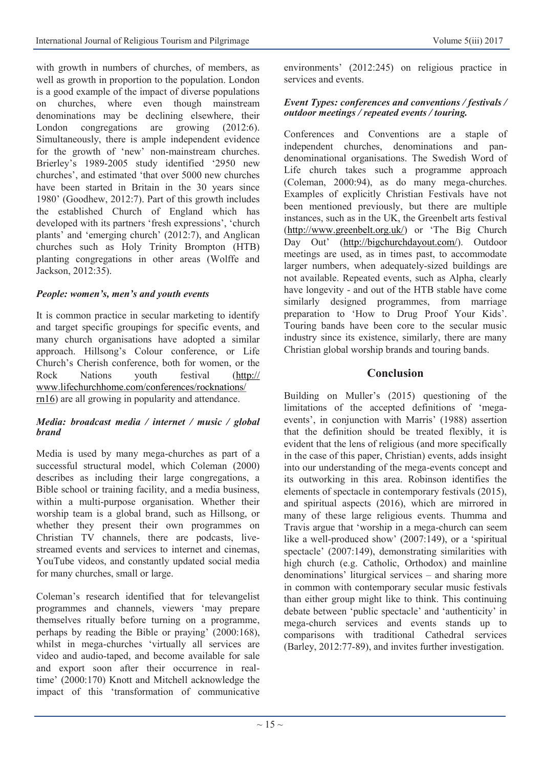with growth in numbers of churches, of members, as well as growth in proportion to the population. London is a good example of the impact of diverse populations on churches, where even though mainstream denominations may be declining elsewhere, their London congregations are growing (2012:6). Simultaneously, there is ample independent evidence for the growth of 'new' non-mainstream churches. Brierley's 1989-2005 study identified '2950 new churches', and estimated 'that over 5000 new churches have been started in Britain in the 30 years since 1980' (Goodhew, 2012:7). Part of this growth includes the established Church of England which has developed with its partners 'fresh expressions', 'church plants' and 'emerging church' (2012:7), and Anglican churches such as Holy Trinity Brompton (HTB) planting congregations in other areas (Wolffe and Jackson, 2012:35).

#### *People: women's, men's and youth events*

It is common practice in secular marketing to identify and target specific groupings for specific events, and many church organisations have adopted a similar approach. Hillsong's Colour conference, or Life Church's Cherish conference, both for women, or the Rock Nations youth festival ([http://](http://www.lifechurchhome.com/conferences/rocknations/rn16) [www.lifechurchhome.com/conferences/rocknations/](http://www.lifechurchhome.com/conferences/rocknations/rn16) [rn16\)](http://www.lifechurchhome.com/conferences/rocknations/rn16) are all growing in popularity and attendance.

#### *Media: broadcast media / internet / music / global brand*

Media is used by many mega-churches as part of a successful structural model, which Coleman (2000) describes as including their large congregations, a Bible school or training facility, and a media business, within a multi-purpose organisation. Whether their worship team is a global brand, such as Hillsong, or whether they present their own programmes on Christian TV channels, there are podcasts, livestreamed events and services to internet and cinemas, YouTube videos, and constantly updated social media for many churches, small or large.

Coleman's research identified that for televangelist programmes and channels, viewers 'may prepare themselves ritually before turning on a programme, perhaps by reading the Bible or praying' (2000:168), whilst in mega-churches 'virtually all services are video and audio-taped, and become available for sale and export soon after their occurrence in realtime' (2000:170) Knott and Mitchell acknowledge the impact of this 'transformation of communicative

environments' (2012:245) on religious practice in services and events.

#### *Event Types: conferences and conventions / festivals / outdoor meetings / repeated events / touring.*

Conferences and Conventions are a staple of independent churches, denominations and pandenominational organisations. The Swedish Word of Life church takes such a programme approach (Coleman, 2000:94), as do many mega-churches. Examples of explicitly Christian Festivals have not been mentioned previously, but there are multiple instances, such as in the UK, the Greenbelt arts festival [\(http://www.greenbelt.org.uk/\)](http://www.greenbelt.org.uk/) or 'The Big Church Day Out' ([http://bigchurchdayout.com/\)](http://bigchurchdayout.com/). Outdoor meetings are used, as in times past, to accommodate larger numbers, when adequately-sized buildings are not available. Repeated events, such as Alpha, clearly have longevity - and out of the HTB stable have come similarly designed programmes, from marriage preparation to 'How to Drug Proof Your Kids'. Touring bands have been core to the secular music industry since its existence, similarly, there are many Christian global worship brands and touring bands.

# **Conclusion**

Building on Muller's (2015) questioning of the limitations of the accepted definitions of 'megaevents', in conjunction with Marris' (1988) assertion that the definition should be treated flexibly, it is evident that the lens of religious (and more specifically in the case of this paper, Christian) events, adds insight into our understanding of the mega-events concept and its outworking in this area. Robinson identifies the elements of spectacle in contemporary festivals (2015), and spiritual aspects (2016), which are mirrored in many of these large religious events. Thumma and Travis argue that 'worship in a mega-church can seem like a well-produced show' (2007:149), or a 'spiritual spectacle' (2007:149), demonstrating similarities with high church (e.g. Catholic, Orthodox) and mainline denominations' liturgical services – and sharing more in common with contemporary secular music festivals than either group might like to think. This continuing debate between 'public spectacle' and 'authenticity' in mega-church services and events stands up to comparisons with traditional Cathedral services (Barley, 2012:77-89), and invites further investigation.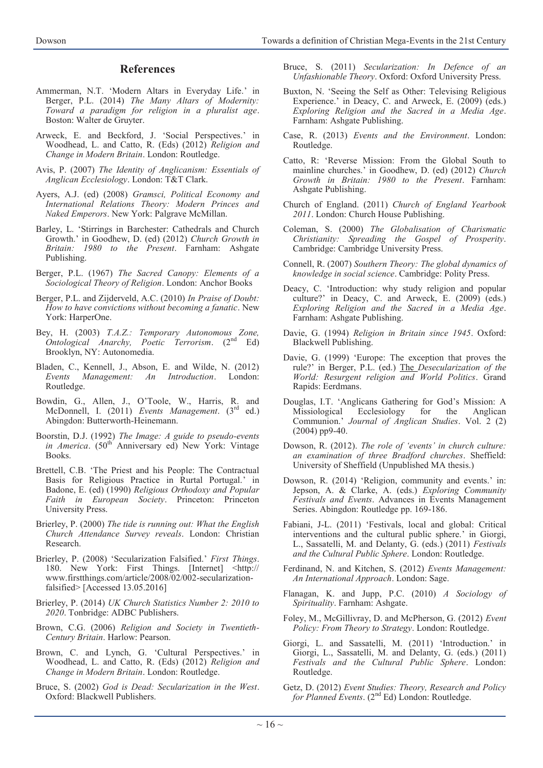#### **References**

- Ammerman, N.T. 'Modern Altars in Everyday Life.' in Berger, P.L. (2014) *The Many Altars of Modernity: Toward a paradigm for religion in a pluralist age*. Boston: Walter de Gruyter.
- Arweck, E. and Beckford, J. 'Social Perspectives.' in Woodhead, L. and Catto, R. (Eds) (2012) *Religion and Change in Modern Britain*. London: Routledge.
- Avis, P. (2007) *The Identity of Anglicanism: Essentials of Anglican Ecclesiology*. London: T&T Clark.
- Ayers, A.J. (ed) (2008) *Gramsci, Political Economy and International Relations Theory: Modern Princes and Naked Emperors*. New York: Palgrave McMillan.
- Barley, L. 'Stirrings in Barchester: Cathedrals and Church Growth.' in Goodhew, D. (ed) (2012) *Church Growth in Britain: 1980 to the Present*. Farnham: Ashgate Publishing.
- Berger, P.L. (1967) *The Sacred Canopy: Elements of a Sociological Theory of Religion*. London: Anchor Books
- Berger, P.L. and Zijderveld, A.C. (2010) *In Praise of Doubt: How to have convictions without becoming a fanatic*. New York: HarperOne.
- Bey, H. (2003) *T.A.Z.: Temporary Autonomous Zone, Ontological Anarchy, Poetic Terrorism*. (2nd Ed) Brooklyn, NY: Autonomedia.
- Bladen, C., Kennell, J., Abson, E. and Wilde, N. (2012) *Events Management: An Introduction*. London: Routledge.
- Bowdin, G., Allen, J., O'Toole, W., Harris, R. and McDonnell, I. (2011) *Events Management*. (3rd ed.) Abingdon: Butterworth-Heinemann.
- Boorstin, D.J. (1992) *The Image: A guide to pseudo-events in America.* (50<sup>th</sup> Anniversary ed) New York: Vintage Books.
- Brettell, C.B. 'The Priest and his People: The Contractual Basis for Religious Practice in Rurtal Portugal.' in Badone, E. (ed) (1990) *Religious Orthodoxy and Popular Faith in European Society*. Princeton: Princeton University Press.
- Brierley, P. (2000) *The tide is running out: What the English Church Attendance Survey reveals*. London: Christian Research.
- Brierley, P. (2008) 'Secularization Falsified.' *First Things*. 180. New York: First Things. [Internet] <http:// www.firstthings.com/article/2008/02/002-secularizationfalsified> [Accessed 13.05.2016]
- Brierley, P. (2014) *UK Church Statistics Number 2: 2010 to 2020*. Tonbridge: ADBC Publishers.
- Brown, C.G. (2006) *Religion and Society in Twentieth-Century Britain*. Harlow: Pearson.
- Brown, C. and Lynch, G. 'Cultural Perspectives.' in Woodhead, L. and Catto, R. (Eds) (2012) *Religion and Change in Modern Britain*. London: Routledge.
- Bruce, S. (2002) *God is Dead: Secularization in the West*. Oxford: Blackwell Publishers.
- Bruce, S. (2011) *Secularization: In Defence of an Unfashionable Theory*. Oxford: Oxford University Press.
- Buxton, N. 'Seeing the Self as Other: Televising Religious Experience.' in Deacy, C. and Arweck, E. (2009) (eds.) *Exploring Religion and the Sacred in a Media Age*. Farnham: Ashgate Publishing.
- Case, R. (2013) *Events and the Environment*. London: Routledge.
- Catto, R: 'Reverse Mission: From the Global South to mainline churches.' in Goodhew, D. (ed) (2012) *Church Growth in Britain: 1980 to the Present*. Farnham: Ashgate Publishing.
- Church of England. (2011) *Church of England Yearbook 2011*. London: Church House Publishing.
- Coleman, S. (2000) *The Globalisation of Charismatic Christianity: Spreading the Gospel of Prosperity*. Cambridge: Cambridge University Press.
- Connell, R. (2007) *Southern Theory: The global dynamics of knowledge in social science*. Cambridge: Polity Press.
- Deacy, C. 'Introduction: why study religion and popular culture?' in Deacy, C. and Arweck, E. (2009) (eds.) *Exploring Religion and the Sacred in a Media Age*. Farnham: Ashgate Publishing.
- Davie, G. (1994) *Religion in Britain since 1945*. Oxford: Blackwell Publishing.
- Davie, G. (1999) 'Europe: The exception that proves the rule?' in Berger, P.L. (ed.) The *Desecularization of the World: Resurgent religion and World Politics*. Grand Rapids: Eerdmans.
- Douglas, I.T. 'Anglicans Gathering for God's Mission: A Missiological Ecclesiology for the Anglican Communion.' *Journal of Anglican Studies*. Vol. 2 (2) (2004) pp9-40.
- Dowson, R. (2012). *The role of 'events' in church culture: an examination of three Bradford churches*. Sheffield: University of Sheffield (Unpublished MA thesis.)
- Dowson, R. (2014) 'Religion, community and events.' in: Jepson, A. & Clarke, A. (eds.) *Exploring Community Festivals and Events*. Advances in Events Management Series. Abingdon: Routledge pp. 169-186.
- Fabiani, J-L. (2011) 'Festivals, local and global: Critical interventions and the cultural public sphere.' in Giorgi, L., Sassatelli, M. and Delanty, G. (eds.) (2011) *Festivals and the Cultural Public Sphere*. London: Routledge.
- Ferdinand, N. and Kitchen, S. (2012) *Events Management: An International Approach*. London: Sage.
- Flanagan, K. and Jupp, P.C. (2010) *A Sociology of Spirituality*. Farnham: Ashgate.
- Foley, M., McGillivray, D. and McPherson, G. (2012) *Event Policy: From Theory to Strategy*. London: Routledge.
- Giorgi, L. and Sassatelli, M. (2011) 'Introduction.' in Giorgi, L., Sassatelli, M. and Delanty, G. (eds.) (2011) *Festivals and the Cultural Public Sphere*. London: Routledge.
- Getz, D. (2012) *Event Studies: Theory, Research and Policy for Planned Events.* (2<sup>nd</sup> Ed) London: Routledge.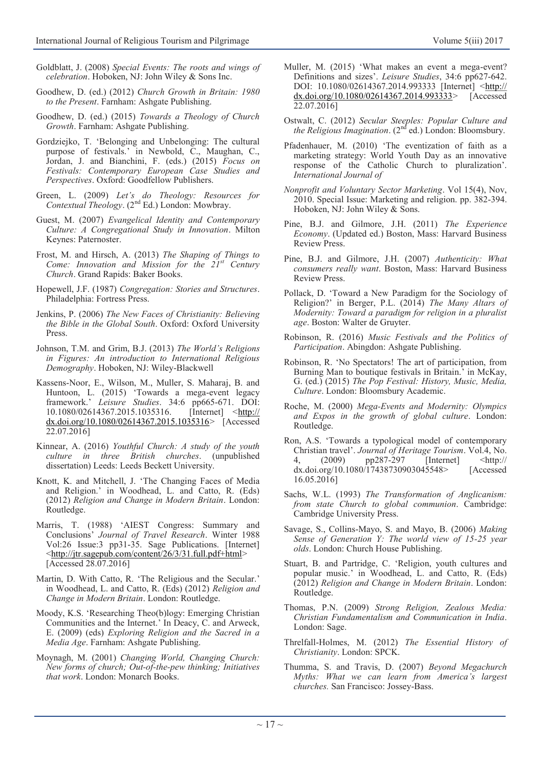- Goldblatt, J. (2008) *Special Events: The roots and wings of celebration*. Hoboken, NJ: John Wiley & Sons Inc.
- Goodhew, D. (ed.) (2012) *Church Growth in Britain: 1980 to the Present*. Farnham: Ashgate Publishing.
- Goodhew, D. (ed.) (2015) *Towards a Theology of Church Growth*. Farnham: Ashgate Publishing.
- Gordziejko, T. 'Belonging and Unbelonging: The cultural purpose of festivals.' in Newbold, C., Maughan, C., Jordan, J. and Bianchini, F. (eds.) (2015) *Focus on Festivals: Contemporary European Case Studies and Perspectives*. Oxford: Goodfellow Publishers.
- Green, L. (2009) *Let's do Theology: Resources for Contextual Theology*. (2nd Ed.) London: Mowbray.
- Guest, M. (2007) *Evangelical Identity and Contemporary Culture: A Congregational Study in Innovation*. Milton Keynes: Paternoster.
- Frost, M. and Hirsch, A. (2013) *The Shaping of Things to Come: Innovation and Mission for the 21st Century Church*. Grand Rapids: Baker Books.
- Hopewell, J.F. (1987) *Congregation: Stories and Structures*. Philadelphia: Fortress Press.
- Jenkins, P. (2006) *The New Faces of Christianity: Believing the Bible in the Global South*. Oxford: Oxford University Press.
- Johnson, T.M. and Grim, B.J. (2013) *The World's Religions in Figures: An introduction to International Religious Demography*. Hoboken, NJ: Wiley-Blackwell
- Kassens-Noor, E., Wilson, M., Muller, S. Maharaj, B. and Huntoon, L. (2015) 'Towards a mega-event legacy framework.' *Leisure Studies*. 34:6 pp665-671. DOI: 10.1080/02614367.2015.1035316. [Internet] <[http://](http://dx.doi.org/10.1080/02614367.2015.1035316) [dx.doi.org/10.1080/02614367.2015.1035316>](http://dx.doi.org/10.1080/02614367.2015.1035316) [Accessed 22.07.2016]
- Kinnear, A. (2016) *Youthful Church: A study of the youth culture in three British churches*. (unpublished dissertation) Leeds: Leeds Beckett University.
- Knott, K. and Mitchell, J. 'The Changing Faces of Media and Religion.' in Woodhead, L. and Catto, R. (Eds) (2012) *Religion and Change in Modern Britain*. London: Routledge.
- Marris, T. (1988) 'AIEST Congress: Summary and Conclusions' *Journal of Travel Research*. Winter 1988 Vol:26 Issue:3 pp31-35. Sage Publications. [Internet] [<http://jtr.sagepub.com/content/26/3/31.full.pdf+html>](http://jtr.sagepub.com/content/26/3/31.full.pdf+html) [Accessed 28.07.2016]
- Martin, D. With Catto, R. 'The Religious and the Secular.' in Woodhead, L. and Catto, R. (Eds) (2012) *Religion and Change in Modern Britain*. London: Routledge.
- Moody, K.S. 'Researching Theo(b)logy: Emerging Christian Communities and the Internet.' In Deacy, C. and Arweck, E. (2009) (eds) *Exploring Religion and the Sacred in a Media Age*. Farnham: Ashgate Publishing.
- Moynagh, M. (2001) *Changing World, Changing Church: New forms of church; Out-of-the-pew thinking; Initiatives that work*. London: Monarch Books.
- Muller, M. (2015) 'What makes an event a mega-event? Definitions and sizes'. *Leisure Studies*, 34:6 pp627-642. DOI: 10.1080/02614367.2014.993333 [Internet] <[http://](http://dx.doi.org/10.1080/02614367.2014.993333) [dx.doi.org/10.1080/02614367.2014.993333>](http://dx.doi.org/10.1080/02614367.2014.993333) [Accessed 22.07.2016]
- Ostwalt, C. (2012) *Secular Steeples: Popular Culture and the Religious Imagination*.  $(2^{nd}$  ed.) London: Bloomsbury.
- Pfadenhauer, M. (2010) 'The eventization of faith as a marketing strategy: World Youth Day as an innovative response of the Catholic Church to pluralization'. *International Journal of*
- *Nonprofit and Voluntary Sector Marketing*. Vol 15(4), Nov, 2010. Special Issue: Marketing and religion. pp. 382-394. Hoboken, NJ: John Wiley & Sons.
- Pine, B.J. and Gilmore, J.H. (2011) *The Experience Economy*. (Updated ed.) Boston, Mass: Harvard Business Review Press.
- Pine, B.J. and Gilmore, J.H. (2007) *Authenticity: What consumers really want*. Boston, Mass: Harvard Business Review Press.
- Pollack, D. 'Toward a New Paradigm for the Sociology of Religion?' in Berger, P.L. (2014) *The Many Altars of Modernity: Toward a paradigm for religion in a pluralist age*. Boston: Walter de Gruyter.
- Robinson, R. (2016) *Music Festivals and the Politics of Participation*. Abingdon: Ashgate Publishing.
- Robinson, R. 'No Spectators! The art of participation, from Burning Man to boutique festivals in Britain.' in McKay, G. (ed.) (2015) *The Pop Festival: History, Music, Media, Culture*. London: Bloomsbury Academic.
- Roche, M. (2000) *Mega-Events and Modernity: Olympics and Expos in the growth of global culture*. London: Routledge.
- Ron, A.S. 'Towards a typological model of contemporary Christian travel'. *Journal of Heritage Tourism*. Vol.4, No. 4, (2009) pp287-297 [Internet] <http:// dx.doi.org/10.1080/17438730903045548> [Accessed 16.05.2016]
- Sachs, W.L. (1993) *The Transformation of Anglicanism: from state Church to global communion*. Cambridge: Cambridge University Press.
- Savage, S., Collins-Mayo, S. and Mayo, B. (2006) *Making Sense of Generation Y: The world view of 15-25 year olds*. London: Church House Publishing.
- Stuart, B. and Partridge, C. 'Religion, youth cultures and popular music.' in Woodhead, L. and Catto, R. (Eds) (2012) *Religion and Change in Modern Britain*. London: Routledge.
- Thomas, P.N. (2009) *Strong Religion, Zealous Media: Christian Fundamentalism and Communication in India*. London: Sage.
- Threlfall-Holmes, M. (2012) *The Essential History of Christianity*. London: SPCK.
- Thumma, S. and Travis, D. (2007) *Beyond Megachurch Myths: What we can learn from America's largest churches.* San Francisco: Jossey-Bass.